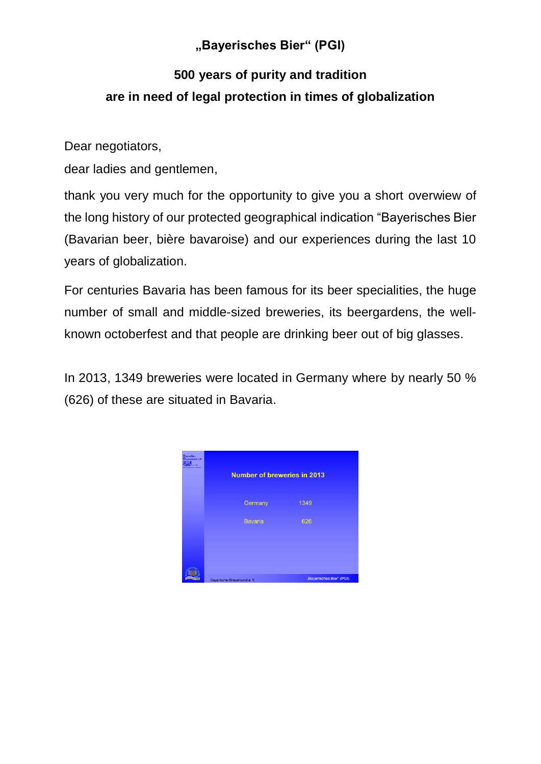## **"Bayerisches Bier" (PGI)**

## **500 years of purity and tradition are in need of legal protection in times of globalization**

Dear negotiators,

dear ladies and gentlemen,

thank you very much for the opportunity to give you a short overwiew of the long history of our protected geographical indication "Bayerisches Bier (Bavarian beer, bière bavaroise) and our experiences during the last 10 years of globalization.

For centuries Bavaria has been famous for its beer specialities, the huge number of small and middle-sized breweries, its beergardens, the wellknown octoberfest and that people are drinking beer out of big glasses.

In 2013, 1349 breweries were located in Germany where by nearly 50 % (626) of these are situated in Bavaria.

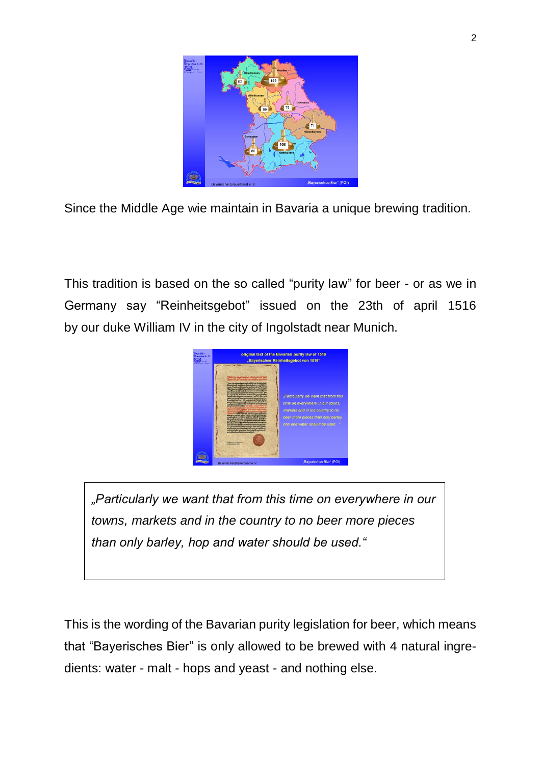

Since the Middle Age wie maintain in Bavaria a unique brewing tradition.

This tradition is based on the so called "purity law" for beer - or as we in Germany say "Reinheitsgebot" issued on the 23th of april 1516 by our duke William IV in the city of Ingolstadt near Munich.



*"Particularly we want that from this time on everywhere in our towns, markets and in the country to no beer more pieces than only barley, hop and water should be used."*

This is the wording of the Bavarian purity legislation for beer, which means that "Bayerisches Bier" is only allowed to be brewed with 4 natural ingredients: water - malt - hops and yeast - and nothing else.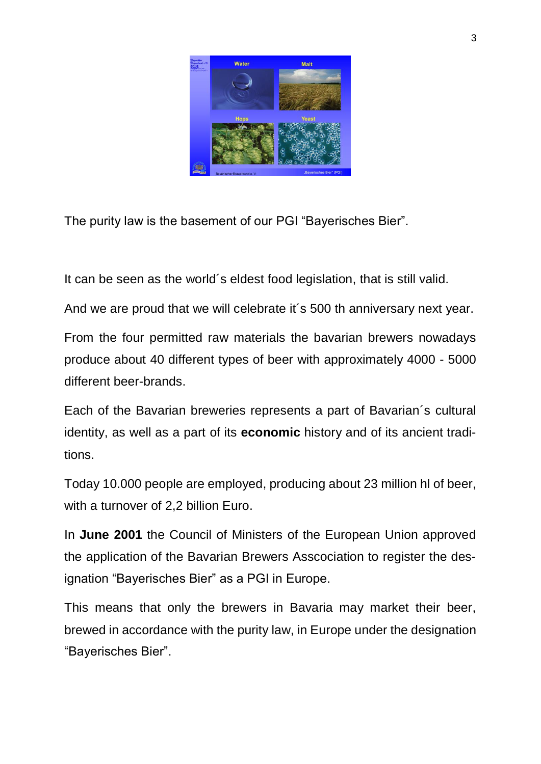

The purity law is the basement of our PGI "Bayerisches Bier".

It can be seen as the world´s eldest food legislation, that is still valid.

And we are proud that we will celebrate it´s 500 th anniversary next year.

From the four permitted raw materials the bavarian brewers nowadays produce about 40 different types of beer with approximately 4000 - 5000 different beer-brands.

Each of the Bavarian breweries represents a part of Bavarian´s cultural identity, as well as a part of its **economic** history and of its ancient traditions.

Today 10.000 people are employed, producing about 23 million hl of beer, with a turnover of 2,2 billion Euro.

In **June 2001** the Council of Ministers of the European Union approved the application of the Bavarian Brewers Asscociation to register the designation "Bayerisches Bier" as a PGI in Europe.

This means that only the brewers in Bavaria may market their beer, brewed in accordance with the purity law, in Europe under the designation "Bayerisches Bier".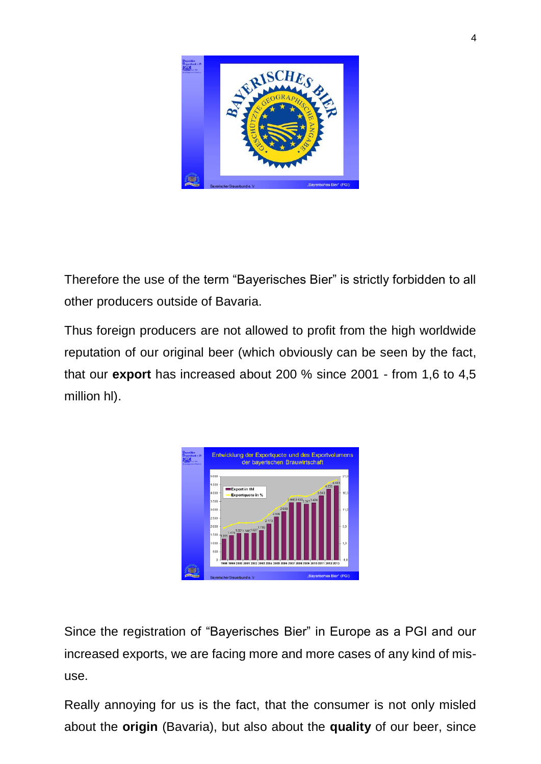

Therefore the use of the term "Bayerisches Bier" is strictly forbidden to all other producers outside of Bavaria.

Thus foreign producers are not allowed to profit from the high worldwide reputation of our original beer (which obviously can be seen by the fact, that our **export** has increased about 200 % since 2001 - from 1,6 to 4,5 million hl).

| <b>Daperifekee</b><br>rauerbund e.D. | Entwicklung der Exportquote und des Exportvolumens<br>der bayerischen Brauwirtschaft                                                                                                                                                                                                        |                                                                                                            |
|--------------------------------------|---------------------------------------------------------------------------------------------------------------------------------------------------------------------------------------------------------------------------------------------------------------------------------------------|------------------------------------------------------------------------------------------------------------|
|                                      | 5.000<br>4.500<br><b>Export in thi</b><br>4.000<br>Exportquote in %<br>3500<br>2.909<br>3.000<br>2.599<br>2.500<br>2.173<br>2.000<br>1.475 1.6011.586 1.627 1.789<br>1.500<br>1 275<br>1.000<br>500<br>0<br>1998 1999 2000 2001 2002 2003 2004 2005 2006 2007 2008 2009 2010 2011 2012 2013 | 21.0<br>4 443<br>4,235<br>16.0<br>3.843<br>34463.459 <sub>3347</sub> 3.424<br>11.0<br>6.0<br>1,0<br>$-4.0$ |
|                                      | Bayerischer Brauerbund e.V.                                                                                                                                                                                                                                                                 | Bayerisches Bier" (PGI)                                                                                    |

Since the registration of "Bayerisches Bier" in Europe as a PGI and our increased exports, we are facing more and more cases of any kind of misuse.

Really annoying for us is the fact, that the consumer is not only misled about the **origin** (Bavaria), but also about the **quality** of our beer, since